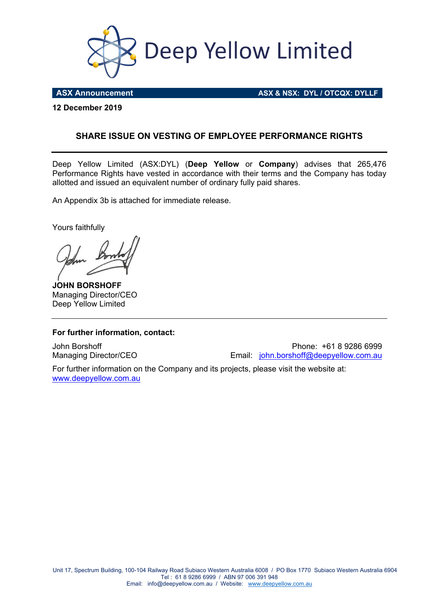

**ASX Announcement ASX & NSX: DYL / OTCQX: DYLLF** 

**12 December 2019** 

#### **SHARE ISSUE ON VESTING OF EMPLOYEE PERFORMANCE RIGHTS**

Deep Yellow Limited (ASX:DYL) (**Deep Yellow** or **Company**) advises that 265,476 Performance Rights have vested in accordance with their terms and the Company has today allotted and issued an equivalent number of ordinary fully paid shares.

An Appendix 3b is attached for immediate release.

Yours faithfully

**JOHN BORSHOFF** Managing Director/CEO Deep Yellow Limited

#### **For further information, contact:**

John Borshoff Phone: +61 8 9286 6999 Managing Director/CEO Email: john.borshoff@deepyellow.com.au

For further information on the Company and its projects, please visit the website at: www.deepyellow.com.au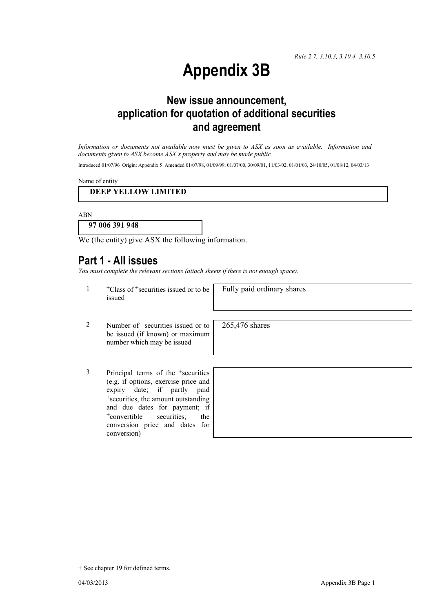*Rule 2.7, 3.10.3, 3.10.4, 3.10.5*

# **Appendix 3B**

# **New issue announcement, application for quotation of additional securities and agreement**

*Information or documents not available now must be given to ASX as soon as available. Information and documents given to ASX become ASX's property and may be made public.* 

Introduced 01/07/96 Origin: Appendix 5 Amended 01/07/98, 01/09/99, 01/07/00, 30/09/01, 11/03/02, 01/01/03, 24/10/05, 01/08/12, 04/03/13

Name of entity

#### **DEEP YELLOW LIMITED**

ABN

**97 006 391 948** 

We (the entity) give ASX the following information.

## **Part 1 - All issues**

*You must complete the relevant sections (attach sheets if there is not enough space).*

1 +Class of +securities issued or to be issued

Fully paid ordinary shares

265,476 shares

- 2 Number of <sup>+</sup>securities issued or to be issued (if known) or maximum number which may be issued
- 3 Principal terms of the <sup>+</sup>securities (e.g. if options, exercise price and expiry date; if partly paid +securities, the amount outstanding and due dates for payment; if +convertible securities, the conversion price and dates for conversion)

+ See chapter 19 for defined terms.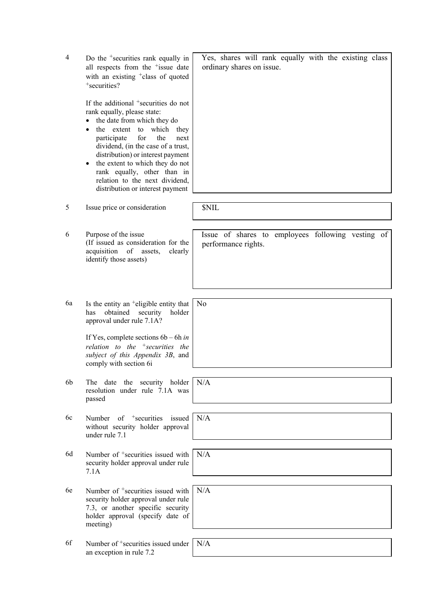| $\overline{4}$ | Do the <sup>+</sup> securities rank equally in<br>all respects from the <sup>+</sup> issue date<br>with an existing <sup>+</sup> class of quoted<br>+securities?                                                                                                                                                                                                                                                                   | Yes, shares will rank equally with the existing class<br>ordinary shares on issue. |
|----------------|------------------------------------------------------------------------------------------------------------------------------------------------------------------------------------------------------------------------------------------------------------------------------------------------------------------------------------------------------------------------------------------------------------------------------------|------------------------------------------------------------------------------------|
|                | If the additional <sup>+</sup> securities do not<br>rank equally, please state:<br>the date from which they do<br>the extent<br>to which<br>they<br>$\bullet$<br>the<br>participate<br>for<br>next<br>dividend, (in the case of a trust,<br>distribution) or interest payment<br>the extent to which they do not<br>$\bullet$<br>rank equally, other than in<br>relation to the next dividend,<br>distribution or interest payment |                                                                                    |
| 5              | Issue price or consideration                                                                                                                                                                                                                                                                                                                                                                                                       | <b>SNIL</b>                                                                        |
| 6              | Purpose of the issue<br>(If issued as consideration for the<br>of assets,<br>acquisition<br>clearly<br>identify those assets)                                                                                                                                                                                                                                                                                                      | Issue of shares to employees following vesting of<br>performance rights.           |
| 6a             | Is the entity an $\pm$ eligible entity that<br>obtained<br>security<br>holder<br>has<br>approval under rule 7.1A?                                                                                                                                                                                                                                                                                                                  | No                                                                                 |
|                | If Yes, complete sections $6b - 6h$ in<br>relation to the $+$ securities the<br>subject of this Appendix 3B, and<br>comply with section 6i                                                                                                                                                                                                                                                                                         |                                                                                    |
| 6b             | date the security holder<br>The<br>resolution under rule 7.1A was<br>passed                                                                                                                                                                                                                                                                                                                                                        | N/A                                                                                |
| 6c             | Number of $+$ securities<br>issued<br>without security holder approval<br>under rule 7.1                                                                                                                                                                                                                                                                                                                                           | N/A                                                                                |
| 6d             | Number of <sup>+</sup> securities issued with<br>security holder approval under rule<br>7.1A                                                                                                                                                                                                                                                                                                                                       | N/A                                                                                |
| 6e             | Number of <sup>+</sup> securities issued with<br>security holder approval under rule<br>7.3, or another specific security<br>holder approval (specify date of<br>meeting)                                                                                                                                                                                                                                                          | N/A                                                                                |
| 6f             | Number of <sup>+</sup> securities issued under<br>an exception in rule 7.2                                                                                                                                                                                                                                                                                                                                                         | N/A                                                                                |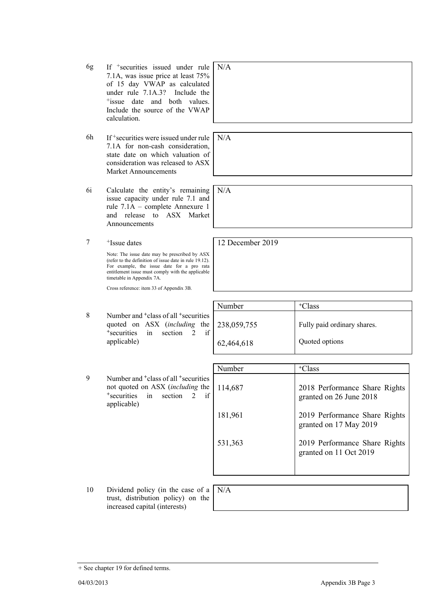- 6g If +securities issued under rule 7.1A, was issue price at least 75% of 15 day VWAP as calculated under rule 7.1A.3? Include the +issue date and both values. Include the source of the VWAP calculation. N/A
- 6h If +securities were issued under rule 7.1A for non-cash consideration, state date on which valuation of consideration was released to ASX Market Announcements
- 6i Calculate the entity's remaining issue capacity under rule 7.1 and rule 7.1A – complete Annexure 1 and release to ASX Market Announcements
- 7 +Issue dates

Note: The issue date may be prescribed by ASX (refer to the definition of issue date in rule 19.12). For example, the issue date for a pro rata entitlement issue must comply with the applicable timetable in Appendix 7A.

Cross reference: item 33 of Appendix 3B.

|   |                                                                                                                                                      | Number     | <sup>+</sup> Class          |
|---|------------------------------------------------------------------------------------------------------------------------------------------------------|------------|-----------------------------|
| 8 | Number and <sup>+</sup> class of all <sup>+</sup> securities<br>quoted on ASX (including the 238,059,755)<br>in section 2<br><sup>+</sup> securities |            | Fully paid ordinary shares. |
|   | applicable)                                                                                                                                          | 62,464,618 | Quoted options              |

|   |                                                                                                                                                                               | Number  | <sup>+</sup> Class                                       |
|---|-------------------------------------------------------------------------------------------------------------------------------------------------------------------------------|---------|----------------------------------------------------------|
| 9 | Number and <sup>+</sup> class of all <sup>+</sup> securities<br>not quoted on ASX (including the<br><sup>+</sup> securities in section<br>if<br>$\overline{2}$<br>applicable) | 114,687 | 2018 Performance Share Rights<br>granted on 26 June 2018 |
|   |                                                                                                                                                                               | 181,961 | 2019 Performance Share Rights<br>granted on 17 May 2019  |
|   |                                                                                                                                                                               | 531,363 | 2019 Performance Share Rights<br>granted on 11 Oct 2019  |
|   |                                                                                                                                                                               |         |                                                          |

10 Dividend policy (in the case of a trust, distribution policy) on the increased capital (interests)

N/A

04/03/2013 Appendix 3B Page 3

N/A

N/A

12 December 2019

<sup>+</sup> See chapter 19 for defined terms.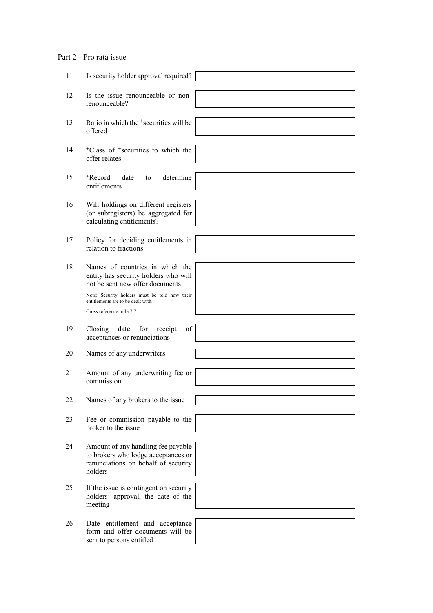### Part 2 - Pro rata issue

| 11 | Is security holder approval required?                                                                                       |  |
|----|-----------------------------------------------------------------------------------------------------------------------------|--|
| 12 | Is the issue renounceable or non-<br>renounceable?                                                                          |  |
| 13 | Ratio in which the <sup>+</sup> securities will be<br>offered                                                               |  |
| 14 | <sup>+</sup> Class of <sup>+</sup> securities to which the<br>offer relates                                                 |  |
| 15 | <sup>+</sup> Record<br>determine<br>date<br>to<br>entitlements                                                              |  |
| 16 | Will holdings on different registers<br>(or subregisters) be aggregated for<br>calculating entitlements?                    |  |
| 17 | Policy for deciding entitlements in<br>relation to fractions                                                                |  |
| 18 | Names of countries in which the<br>entity has security holders who will<br>not be sent new offer documents                  |  |
|    | Note: Security holders must be told how their<br>entitlements are to be dealt with.<br>Cross reference: rule 7.7.           |  |
|    |                                                                                                                             |  |
| 19 | of<br>Closing<br>date<br>for<br>receipt<br>acceptances or renunciations                                                     |  |
| 20 | Names of any underwriters                                                                                                   |  |
| 21 | Amount of any underwriting fee or<br>commission                                                                             |  |
| 22 | Names of any brokers to the issue                                                                                           |  |
| 23 | Fee or commission payable to the<br>broker to the issue                                                                     |  |
| 24 | Amount of any handling fee payable<br>to brokers who lodge acceptances or<br>renunciations on behalf of security<br>holders |  |
| 25 | If the issue is contingent on security<br>holders' approval, the date of the<br>meeting                                     |  |
| 26 | Date entitlement and acceptance<br>form and offer documents will be<br>sent to persons entitled                             |  |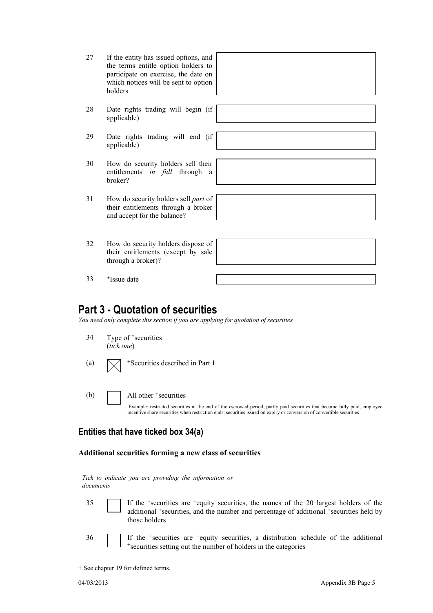| 27 | If the entity has issued options, and |
|----|---------------------------------------|
|    | the terms entitle option holders to   |
|    | participate on exercise, the date on  |
|    | which notices will be sent to option  |
|    | holders                               |

- 28 Date rights trading will begin (if applicable)
- 29 Date rights trading will end (if applicable)
- 30 How do security holders sell their entitlements *in full* through a broker?
- 31 How do security holders sell *part* of their entitlements through a broker and accept for the balance?
- 32 How do security holders dispose of their entitlements (except by sale through a broker)?

33 +Issue date

## **Part 3 - Quotation of securities**

*You need only complete this section if you are applying for quotation of securities* 

- 34 Type of <sup>+</sup>securities (*tick one*)
- (a)  $\sqrt{\phantom{a}}$  +Securities described in Part 1
- (b)  $\Box$  All other  $\ddagger$  securities

Example: restricted securities at the end of the escrowed period, partly paid securities that become fully paid, employee incentive share securities when restriction ends, securities issued on expiry or conversion of convertible securities

### **Entities that have ticked box 34(a)**

#### **Additional securities forming a new class of securities**

*Tick to indicate you are providing the information or documents*

- 
- 35 If the +securities are +equity securities, the names of the 20 largest holders of the additional <sup>+</sup>securities, and the number and percentage of additional <sup>+</sup>securities held by those holders
- 36 If the <sup>+</sup>securities are <sup>+</sup>equity securities, a distribution schedule of the additional +securities setting out the number of holders in the categories

<sup>+</sup> See chapter 19 for defined terms.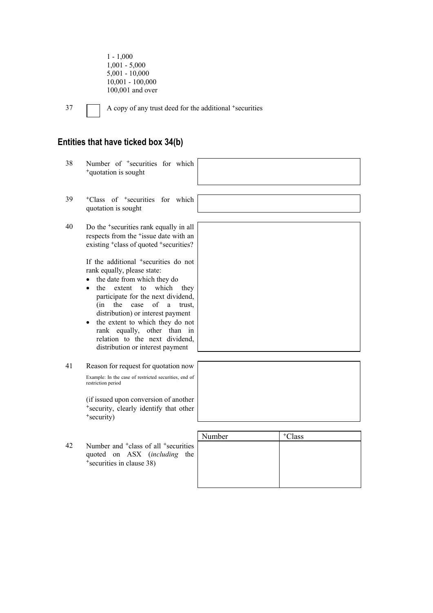1 - 1,000 1,001 - 5,000 5,001 - 10,000 10,001 - 100,000 100,001 and over

37 A copy of any trust deed for the additional +securities

#### **Entities that have ticked box 34(b)**

- 38 Number of +securities for which <sup>+</sup>quotation is sought
- 39 +Class of +securities for which quotation is sought
- 40 Do the <sup>+</sup>securities rank equally in all respects from the +issue date with an existing <sup>+</sup>class of quoted <sup>+</sup>securities?

If the additional <sup>+</sup>securities do not rank equally, please state:

- the date from which they do
- the extent to which they participate for the next dividend, (in the case of a trust, distribution) or interest payment
- the extent to which they do not rank equally, other than in relation to the next dividend, distribution or interest payment
- 41 Reason for request for quotation now Example: In the case of restricted securities, end of restriction period

(if issued upon conversion of another <sup>+</sup>security, clearly identify that other <sup>+</sup>security)

42 Number and <sup>+</sup>class of all <sup>+</sup>securities quoted on ASX (*including* the <sup>+</sup>securities in clause 38)



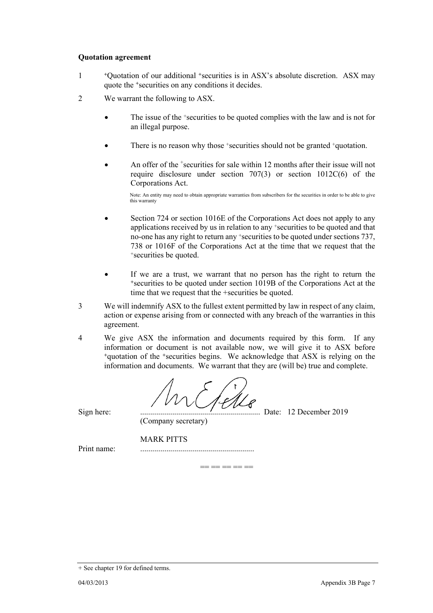#### **Quotation agreement**

- <sup>1</sup> <sup>+</sup>Quotation of our additional <sup>+</sup>securities is in ASX's absolute discretion. ASX may quote the +securities on any conditions it decides.
- 2 We warrant the following to ASX.
	- The issue of the <sup>+</sup>securities to be quoted complies with the law and is not for an illegal purpose.
	- There is no reason why those +securities should not be granted +quotation.
	- An offer of the <sup>+</sup>securities for sale within 12 months after their issue will not require disclosure under section 707(3) or section 1012C(6) of the Corporations Act.

Note: An entity may need to obtain appropriate warranties from subscribers for the securities in order to be able to give this warranty

- Section 724 or section 1016E of the Corporations Act does not apply to any applications received by us in relation to any +securities to be quoted and that no-one has any right to return any +securities to be quoted under sections 737, 738 or 1016F of the Corporations Act at the time that we request that the +securities be quoted.
- If we are a trust, we warrant that no person has the right to return the <sup>+</sup>securities to be quoted under section 1019B of the Corporations Act at the time that we request that the +securities be quoted.
- 3 We will indemnify ASX to the fullest extent permitted by law in respect of any claim, action or expense arising from or connected with any breach of the warranties in this agreement.
- 4 We give ASX the information and documents required by this form. If any information or document is not available now, we will give it to ASX before <sup>+</sup>quotation of the +securities begins. We acknowledge that ASX is relying on the information and documents. We warrant that they are (will be) true and complete.

Sign here: ............................................................ Date: 12 December 2019

 (Company secretary) MARK PITTS

Print name: .........................................................

 $-$ 

<sup>+</sup> See chapter 19 for defined terms.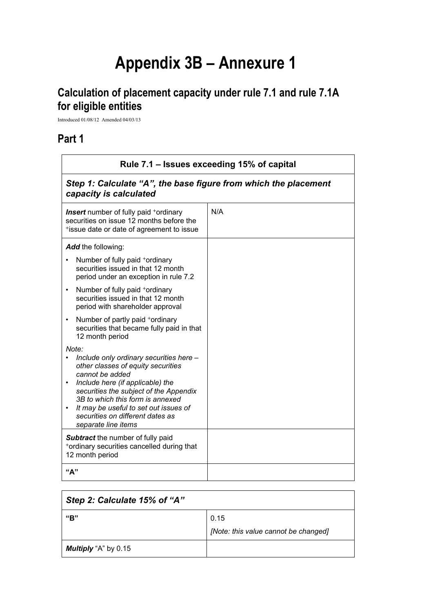# **Appendix 3B – Annexure 1**

# **Calculation of placement capacity under rule 7.1 and rule 7.1A for eligible entities**

Introduced 01/08/12 Amended 04/03/13

## **Part 1**

| Rule 7.1 – Issues exceeding 15% of capital                                                                                                                                                                                                                                                                                                   |     |  |
|----------------------------------------------------------------------------------------------------------------------------------------------------------------------------------------------------------------------------------------------------------------------------------------------------------------------------------------------|-----|--|
| Step 1: Calculate "A", the base figure from which the placement<br>capacity is calculated                                                                                                                                                                                                                                                    |     |  |
| <b>Insert</b> number of fully paid <sup>+</sup> ordinary<br>securities on issue 12 months before the<br>*issue date or date of agreement to issue                                                                                                                                                                                            | N/A |  |
| Add the following:                                                                                                                                                                                                                                                                                                                           |     |  |
| Number of fully paid +ordinary<br>securities issued in that 12 month<br>period under an exception in rule 7.2                                                                                                                                                                                                                                |     |  |
| Number of fully paid +ordinary<br>$\bullet$<br>securities issued in that 12 month<br>period with shareholder approval                                                                                                                                                                                                                        |     |  |
| Number of partly paid +ordinary<br>$\bullet$<br>securities that became fully paid in that<br>12 month period                                                                                                                                                                                                                                 |     |  |
| Note:<br>Include only ordinary securities here -<br>other classes of equity securities<br>cannot be added<br>Include here (if applicable) the<br>$\bullet$<br>securities the subject of the Appendix<br>3B to which this form is annexed<br>It may be useful to set out issues of<br>securities on different dates as<br>separate line items |     |  |
| <b>Subtract</b> the number of fully paid<br>*ordinary securities cancelled during that<br>12 month period                                                                                                                                                                                                                                    |     |  |
| "А"                                                                                                                                                                                                                                                                                                                                          |     |  |

| Step 2: Calculate 15% of "A" |                                      |
|------------------------------|--------------------------------------|
| "B"                          | 0.15                                 |
|                              | [Note: this value cannot be changed] |
| <b>Multiply</b> "A" by 0.15  |                                      |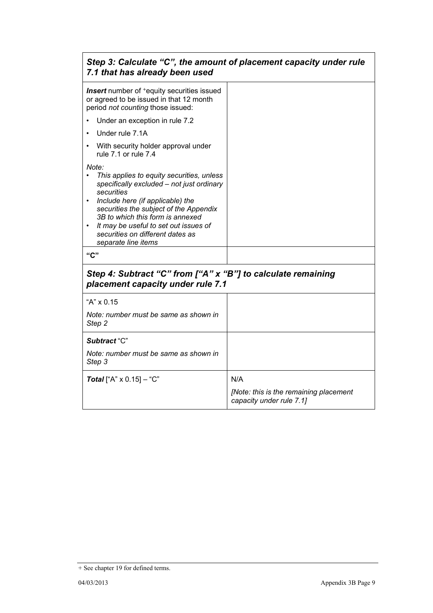| Step 3: Calculate "C", the amount of placement capacity under rule<br>7.1 that has already been used                                                                                                                                                                                                                                |                                                                    |  |
|-------------------------------------------------------------------------------------------------------------------------------------------------------------------------------------------------------------------------------------------------------------------------------------------------------------------------------------|--------------------------------------------------------------------|--|
| <b>Insert</b> number of <sup>+</sup> equity securities issued<br>or agreed to be issued in that 12 month<br>period not counting those issued:                                                                                                                                                                                       |                                                                    |  |
| Under an exception in rule 7.2                                                                                                                                                                                                                                                                                                      |                                                                    |  |
| Under rule 7.1A                                                                                                                                                                                                                                                                                                                     |                                                                    |  |
| With security holder approval under<br>rule 7.1 or rule 7.4                                                                                                                                                                                                                                                                         |                                                                    |  |
| Note:<br>This applies to equity securities, unless<br>specifically excluded - not just ordinary<br>securities<br>Include here (if applicable) the<br>securities the subject of the Appendix<br>3B to which this form is annexed<br>It may be useful to set out issues of<br>securities on different dates as<br>separate line items |                                                                    |  |
| "C"                                                                                                                                                                                                                                                                                                                                 |                                                                    |  |
| Step 4: Subtract "C" from ["A" x "B"] to calculate remaining<br>placement capacity under rule 7.1                                                                                                                                                                                                                                   |                                                                    |  |
| "A" x 0.15                                                                                                                                                                                                                                                                                                                          |                                                                    |  |
| Note: number must be same as shown in<br>Step 2                                                                                                                                                                                                                                                                                     |                                                                    |  |
| Subtract "C"                                                                                                                                                                                                                                                                                                                        |                                                                    |  |
| Note: number must be same as shown in<br>Step 3                                                                                                                                                                                                                                                                                     |                                                                    |  |
| <b>Total</b> ["A" $\times$ 0.15] – "C"                                                                                                                                                                                                                                                                                              | N/A                                                                |  |
|                                                                                                                                                                                                                                                                                                                                     | [Note: this is the remaining placement<br>capacity under rule 7.1] |  |

<sup>+</sup> See chapter 19 for defined terms.